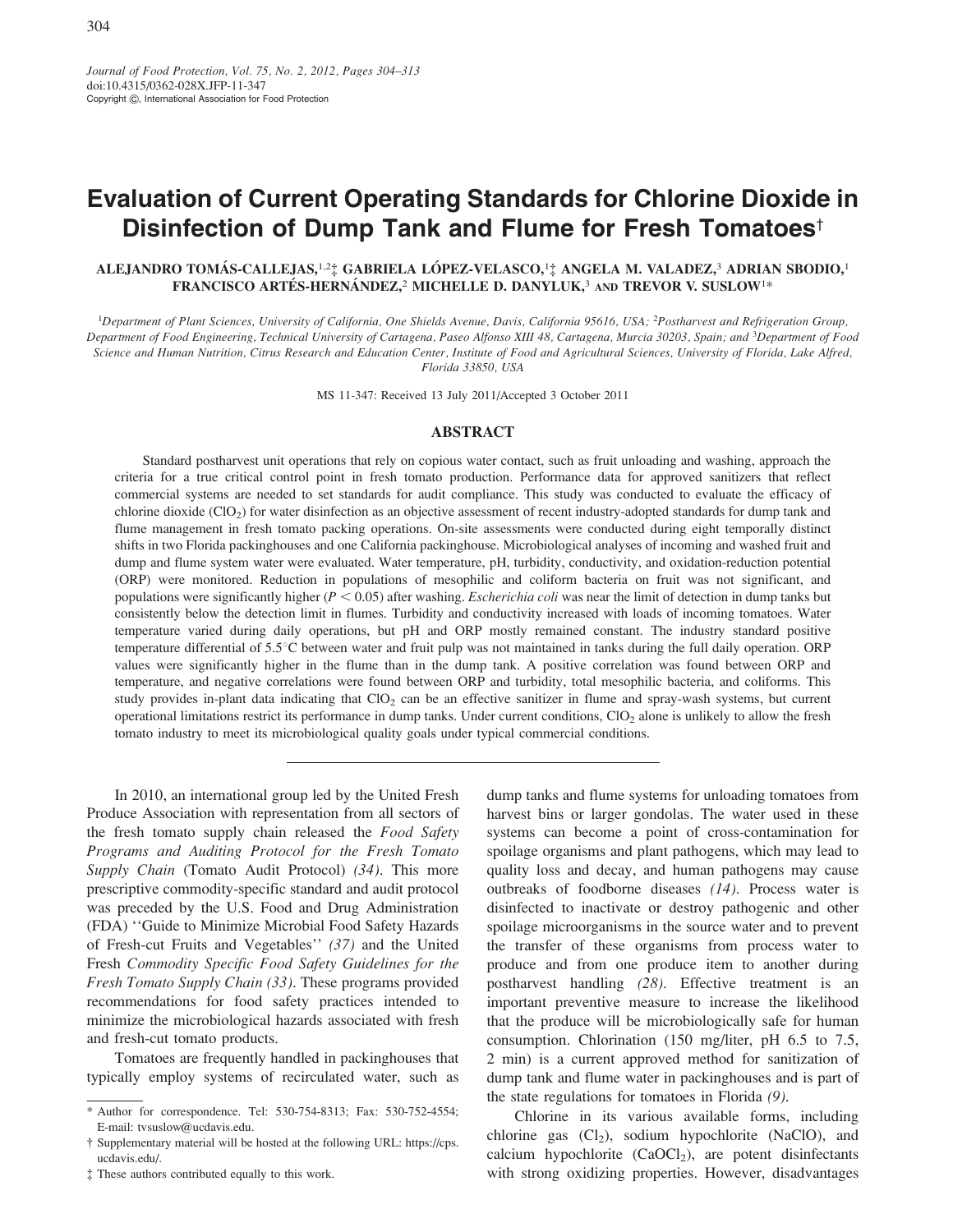Journal of Food Protection, Vol. 75, No. 2, 2012, Pages 304-313 doi:10.4315/0362-028X.JFP-11-347 Copyright C, International Association for Food Protection

# **Evaluation of Current Operating Standards for Chlorine Dioxide in** Disinfection of Dump Tank and Flume for Fresh Tomatoes<sup>t</sup>

## ALEJANDRO TOMÁS-CALLEJAS,<sup>1,2</sup>I GABRIELA LÓPEZ-VELASCO,<sup>1</sup>I ANGELA M. VALADEZ,<sup>3</sup> ADRIAN SBODIO,<sup>1</sup> FRANCISCO ARTÉS-HERNÁNDEZ,<sup>2</sup> MICHELLE D. DANYLUK,<sup>3</sup> AND TREVOR V. SUSLOW<sup>1\*</sup>

<sup>1</sup>Department of Plant Sciences, University of California, One Shields Avenue, Davis, California 95616, USA; <sup>2</sup>Postharvest and Refrigeration Group, Department of Food Engineering, Technical University of Cartagena, Paseo Alfonso XIII 48, Cartagena, Murcia 30203, Spain; and <sup>3</sup>Department of Food Science and Human Nutrition, Citrus Research and Education Center, Institute of Food and Agricultural Sciences, University of Florida, Lake Alfred, Florida 33850, USA

MS 11-347: Received 13 July 2011/Accepted 3 October 2011

#### **ABSTRACT**

Standard postharvest unit operations that rely on copious water contact, such as fruit unloading and washing, approach the criteria for a true critical control point in fresh tomato production. Performance data for approved sanitizers that reflect commercial systems are needed to set standards for audit compliance. This study was conducted to evaluate the efficacy of chlorine dioxide (ClO<sub>2</sub>) for water disinfection as an objective assessment of recent industry-adopted standards for dump tank and flume management in fresh tomato packing operations. On-site assessments were conducted during eight temporally distinct shifts in two Florida packinghouses and one California packinghouse. Microbiological analyses of incoming and washed fruit and dump and flume system water were evaluated. Water temperature, pH, turbidity, conductivity, and oxidation-reduction potential (ORP) were monitored. Reduction in populations of mesophilic and coliform bacteria on fruit was not significant, and populations were significantly higher ( $P < 0.05$ ) after washing. *Escherichia coli* was near the limit of detection in dump tanks but consistently below the detection limit in flumes. Turbidity and conductivity increased with loads of incoming tomatoes. Water temperature varied during daily operations, but pH and ORP mostly remained constant. The industry standard positive temperature differential of 5.5°C between water and fruit pulp was not maintained in tanks during the full daily operation. ORP values were significantly higher in the flume than in the dump tank. A positive correlation was found between ORP and temperature, and negative correlations were found between ORP and turbidity, total mesophilic bacteria, and coliforms. This study provides in-plant data indicating that  $ClO<sub>2</sub>$  can be an effective sanitizer in flume and spray-wash systems, but current operational limitations restrict its performance in dump tanks. Under current conditions,  $ClO<sub>2</sub>$  alone is unlikely to allow the fresh tomato industry to meet its microbiological quality goals under typical commercial conditions.

In 2010, an international group led by the United Fresh Produce Association with representation from all sectors of the fresh tomato supply chain released the Food Safety Programs and Auditing Protocol for the Fresh Tomato Supply Chain (Tomato Audit Protocol) (34). This more prescriptive commodity-specific standard and audit protocol was preceded by the U.S. Food and Drug Administration (FDA) "Guide to Minimize Microbial Food Safety Hazards of Fresh-cut Fruits and Vegetables" (37) and the United Fresh Commodity Specific Food Safety Guidelines for the Fresh Tomato Supply Chain (33). These programs provided recommendations for food safety practices intended to minimize the microbiological hazards associated with fresh and fresh-cut tomato products.

Tomatoes are frequently handled in packinghouses that typically employ systems of recirculated water, such as

# These authors contributed equally to this work.

dump tanks and flume systems for unloading tomatoes from harvest bins or larger gondolas. The water used in these systems can become a point of cross-contamination for spoilage organisms and plant pathogens, which may lead to quality loss and decay, and human pathogens may cause outbreaks of foodborne diseases  $(14)$ . Process water is disinfected to inactivate or destroy pathogenic and other spoilage microorganisms in the source water and to prevent the transfer of these organisms from process water to produce and from one produce item to another during postharvest handling (28). Effective treatment is an important preventive measure to increase the likelihood that the produce will be microbiologically safe for human consumption. Chlorination (150 mg/liter, pH 6.5 to 7.5, 2 min) is a current approved method for sanitization of dump tank and flume water in packinghouses and is part of the state regulations for tomatoes in Florida  $(9)$ .

Chlorine in its various available forms, including chlorine gas (Cl<sub>2</sub>), sodium hypochlorite (NaClO), and calcium hypochlorite (CaOCl<sub>2</sub>), are potent disinfectants with strong oxidizing properties. However, disadvantages

<sup>\*</sup> Author for correspondence. Tel: 530-754-8313; Fax: 530-752-4554; E-mail: tvsuslow@ucdavis.edu.

<sup>†</sup> Supplementary material will be hosted at the following URL: https://cps. ucdavis.edu/.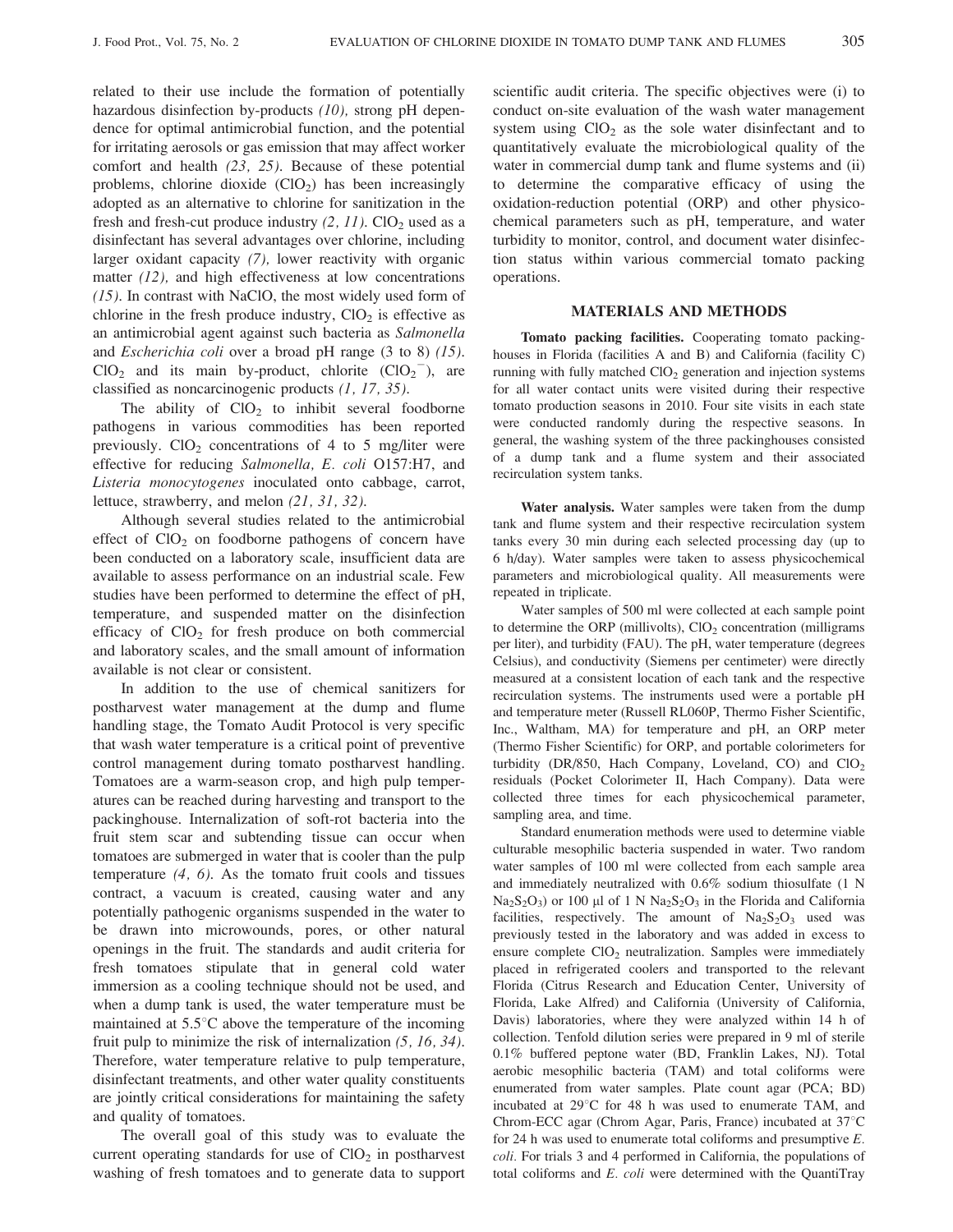related to their use include the formation of potentially hazardous disinfection by-products  $(10)$ , strong pH dependence for optimal antimicrobial function, and the potential for irritating aerosols or gas emission that may affect worker comfort and health  $(23, 25)$ . Because of these potential problems, chlorine dioxide  $(CIO<sub>2</sub>)$  has been increasingly adopted as an alternative to chlorine for sanitization in the fresh and fresh-cut produce industry  $(2, 11)$ . ClO<sub>2</sub> used as a disinfectant has several advantages over chlorine, including larger oxidant capacity (7), lower reactivity with organic matter  $(12)$ , and high effectiveness at low concentrations  $(15)$ . In contrast with NaClO, the most widely used form of chlorine in the fresh produce industry,  $ClO<sub>2</sub>$  is effective as an antimicrobial agent against such bacteria as Salmonella and *Escherichia coli* over a broad pH range  $(3 \text{ to } 8)$   $(15)$ .  $ClO<sub>2</sub>$  and its main by-product, chlorite  $ClO<sub>2</sub><sup>-</sup>$ , are classified as noncarcinogenic products  $(1, 17, 35)$ .

The ability of  $CIO<sub>2</sub>$  to inhibit several foodborne pathogens in various commodities has been reported previously.  $ClO<sub>2</sub>$  concentrations of 4 to 5 mg/liter were effective for reducing Salmonella, E. coli O157:H7, and Listeria monocytogenes inoculated onto cabbage, carrot, lettuce, strawberry, and melon  $(21, 31, 32)$ .

Although several studies related to the antimicrobial effect of  $ClO<sub>2</sub>$  on foodborne pathogens of concern have been conducted on a laboratory scale, insufficient data are available to assess performance on an industrial scale. Few studies have been performed to determine the effect of pH, temperature, and suspended matter on the disinfection efficacy of  $ClO<sub>2</sub>$  for fresh produce on both commercial and laboratory scales, and the small amount of information available is not clear or consistent.

In addition to the use of chemical sanitizers for postharvest water management at the dump and flume handling stage, the Tomato Audit Protocol is very specific that wash water temperature is a critical point of preventive control management during tomato postharvest handling. Tomatoes are a warm-season crop, and high pulp temperatures can be reached during harvesting and transport to the packinghouse. Internalization of soft-rot bacteria into the fruit stem scar and subtending tissue can occur when tomatoes are submerged in water that is cooler than the pulp temperature  $(4, 6)$ . As the tomato fruit cools and tissues contract, a vacuum is created, causing water and any potentially pathogenic organisms suspended in the water to be drawn into microwounds, pores, or other natural openings in the fruit. The standards and audit criteria for fresh tomatoes stipulate that in general cold water immersion as a cooling technique should not be used, and when a dump tank is used, the water temperature must be maintained at  $5.5^{\circ}$ C above the temperature of the incoming fruit pulp to minimize the risk of internalization  $(5, 16, 34)$ . Therefore, water temperature relative to pulp temperature, disinfectant treatments, and other water quality constituents are jointly critical considerations for maintaining the safety and quality of tomatoes.

The overall goal of this study was to evaluate the current operating standards for use of  $CIO<sub>2</sub>$  in postharvest washing of fresh tomatoes and to generate data to support

scientific audit criteria. The specific objectives were (i) to conduct on-site evaluation of the wash water management system using  $CIO_2$  as the sole water disinfectant and to quantitatively evaluate the microbiological quality of the water in commercial dump tank and flume systems and (ii) to determine the comparative efficacy of using the oxidation-reduction potential (ORP) and other physicochemical parameters such as pH, temperature, and water turbidity to monitor, control, and document water disinfection status within various commercial tomato packing operations.

## **MATERIALS AND METHODS**

Tomato packing facilities. Cooperating tomato packinghouses in Florida (facilities A and B) and California (facility C) running with fully matched  $CIO<sub>2</sub>$  generation and injection systems for all water contact units were visited during their respective tomato production seasons in 2010. Four site visits in each state were conducted randomly during the respective seasons. In general, the washing system of the three packinghouses consisted of a dump tank and a flume system and their associated recirculation system tanks.

Water analysis. Water samples were taken from the dump tank and flume system and their respective recirculation system tanks every 30 min during each selected processing day (up to 6 h/day). Water samples were taken to assess physicochemical parameters and microbiological quality. All measurements were repeated in triplicate.

Water samples of 500 ml were collected at each sample point to determine the ORP (millivolts),  $CIO<sub>2</sub>$  concentration (milligrams per liter), and turbidity (FAU). The pH, water temperature (degrees Celsius), and conductivity (Siemens per centimeter) were directly measured at a consistent location of each tank and the respective recirculation systems. The instruments used were a portable pH and temperature meter (Russell RL060P, Thermo Fisher Scientific, Inc., Waltham, MA) for temperature and pH, an ORP meter (Thermo Fisher Scientific) for ORP, and portable colorimeters for turbidity (DR/850, Hach Company, Loveland, CO) and  $ClO<sub>2</sub>$ residuals (Pocket Colorimeter II, Hach Company). Data were collected three times for each physicochemical parameter, sampling area, and time.

Standard enumeration methods were used to determine viable culturable mesophilic bacteria suspended in water. Two random water samples of 100 ml were collected from each sample area and immediately neutralized with  $0.6\%$  sodium thiosulfate (1 N  $Na<sub>2</sub>S<sub>2</sub>O<sub>3</sub>$  or 100 µl of 1 N  $Na<sub>2</sub>S<sub>2</sub>O<sub>3</sub>$  in the Florida and California facilities, respectively. The amount of  $Na<sub>2</sub>S<sub>2</sub>O<sub>3</sub>$  used was previously tested in the laboratory and was added in excess to ensure complete  $CIO<sub>2</sub>$  neutralization. Samples were immediately placed in refrigerated coolers and transported to the relevant Florida (Citrus Research and Education Center, University of Florida, Lake Alfred) and California (University of California, Davis) laboratories, where they were analyzed within 14 h of collection. Tenfold dilution series were prepared in 9 ml of sterile 0.1% buffered peptone water (BD, Franklin Lakes, NJ). Total aerobic mesophilic bacteria (TAM) and total coliforms were enumerated from water samples. Plate count agar (PCA; BD) incubated at 29°C for 48 h was used to enumerate TAM, and Chrom-ECC agar (Chrom Agar, Paris, France) incubated at 37°C for 24 h was used to enumerate total coliforms and presumptive  $E$ . *coli.* For trials 3 and 4 performed in California, the populations of total coliforms and E. coli were determined with the QuantiTray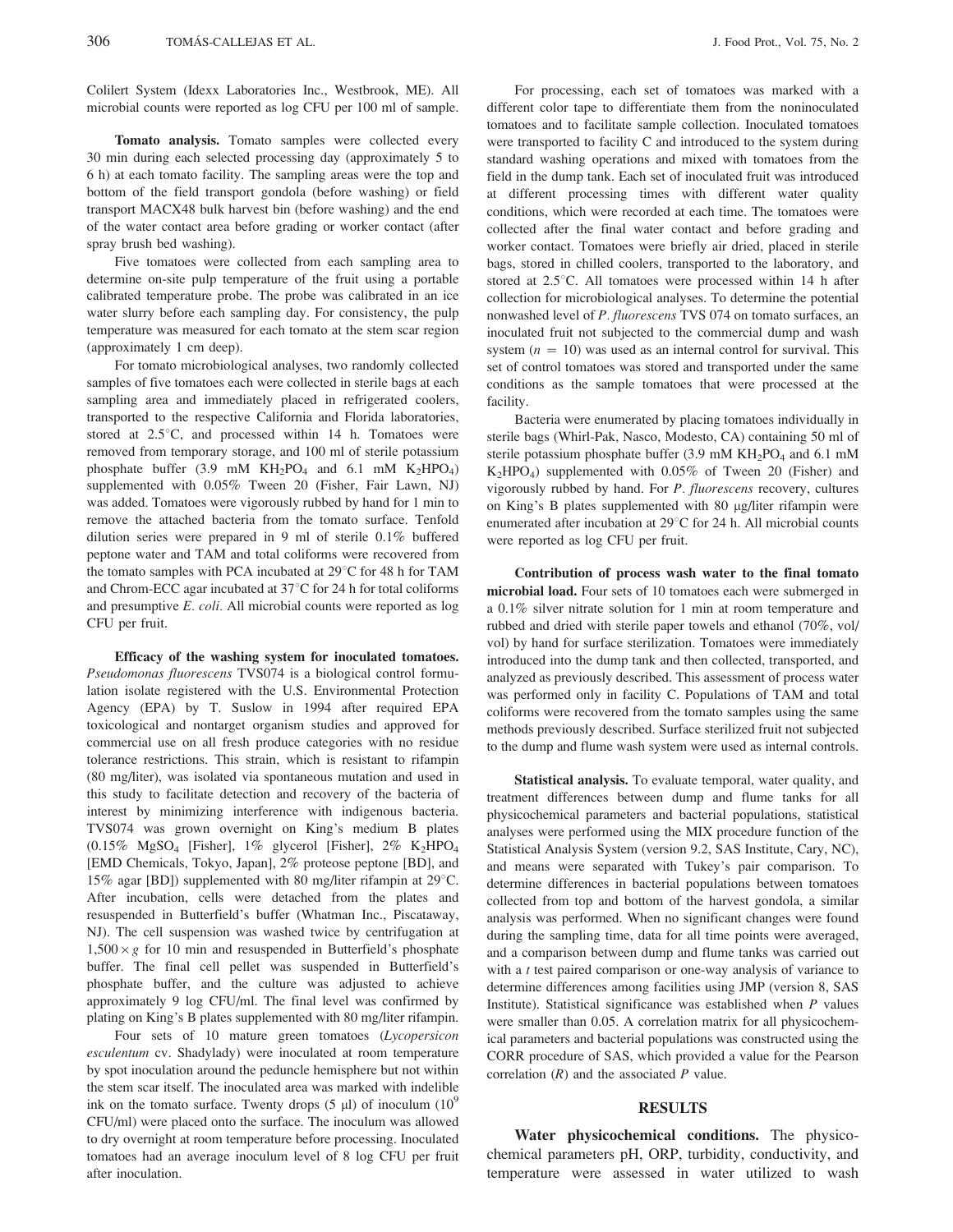Colilert System (Idexx Laboratories Inc., Westbrook, ME). All microbial counts were reported as log CFU per 100 ml of sample.

Tomato analysis. Tomato samples were collected every 30 min during each selected processing day (approximately 5 to 6 h) at each tomato facility. The sampling areas were the top and bottom of the field transport gondola (before washing) or field transport MACX48 bulk harvest bin (before washing) and the end of the water contact area before grading or worker contact (after spray brush bed washing).

Five tomatoes were collected from each sampling area to determine on-site pulp temperature of the fruit using a portable calibrated temperature probe. The probe was calibrated in an ice water slurry before each sampling day. For consistency, the pulp temperature was measured for each tomato at the stem scar region (approximately 1 cm deep).

For tomato microbiological analyses, two randomly collected samples of five tomatoes each were collected in sterile bags at each sampling area and immediately placed in refrigerated coolers, transported to the respective California and Florida laboratories, stored at 2.5°C, and processed within 14 h. Tomatoes were removed from temporary storage, and 100 ml of sterile potassium phosphate buffer (3.9 mM  $KH_2PO_4$  and 6.1 mM  $K_2HPO_4$ ) supplemented with 0.05% Tween 20 (Fisher, Fair Lawn, NJ) was added. Tomatoes were vigorously rubbed by hand for 1 min to remove the attached bacteria from the tomato surface. Tenfold dilution series were prepared in 9 ml of sterile  $0.1\%$  buffered peptone water and TAM and total coliforms were recovered from the tomato samples with PCA incubated at 29°C for 48 h for TAM and Chrom-ECC agar incubated at 37°C for 24 h for total coliforms and presumptive E. coli. All microbial counts were reported as log CFU per fruit.

Efficacy of the washing system for inoculated tomatoes. Pseudomonas fluorescens TVS074 is a biological control formulation isolate registered with the U.S. Environmental Protection Agency (EPA) by T. Suslow in 1994 after required EPA toxicological and nontarget organism studies and approved for commercial use on all fresh produce categories with no residue tolerance restrictions. This strain, which is resistant to rifampin (80 mg/liter), was isolated via spontaneous mutation and used in this study to facilitate detection and recovery of the bacteria of interest by minimizing interference with indigenous bacteria. TVS074 was grown overnight on King's medium B plates  $(0.15\% \text{ MgSO}_4$  [Fisher],  $1\%$  glycerol [Fisher],  $2\% \text{ K}_2\text{HPO}_4$ [EMD Chemicals, Tokyo, Japan], 2% proteose peptone [BD], and 15% agar [BD]) supplemented with 80 mg/liter rifampin at  $29^{\circ}$ C. After incubation, cells were detached from the plates and resuspended in Butterfield's buffer (Whatman Inc., Piscataway, NJ). The cell suspension was washed twice by centrifugation at  $1,500 \times g$  for 10 min and resuspended in Butterfield's phosphate buffer. The final cell pellet was suspended in Butterfield's phosphate buffer, and the culture was adjusted to achieve approximately 9 log CFU/ml. The final level was confirmed by plating on King's B plates supplemented with 80 mg/liter rifampin.

Four sets of 10 mature green tomatoes (Lycopersicon esculentum cv. Shadylady) were inoculated at room temperature by spot inoculation around the peduncle hemisphere but not within the stem scar itself. The inoculated area was marked with indelible ink on the tomato surface. Twenty drops (5  $\mu$ l) of inoculum (10<sup>9</sup> CFU/ml) were placed onto the surface. The inoculum was allowed to dry overnight at room temperature before processing. Inoculated tomatoes had an average inoculum level of 8 log CFU per fruit after inoculation.

For processing, each set of tomatoes was marked with a different color tape to differentiate them from the noninoculated tomatoes and to facilitate sample collection. Inoculated tomatoes were transported to facility C and introduced to the system during standard washing operations and mixed with tomatoes from the field in the dump tank. Each set of inoculated fruit was introduced at different processing times with different water quality conditions, which were recorded at each time. The tomatoes were collected after the final water contact and before grading and worker contact. Tomatoes were briefly air dried, placed in sterile bags, stored in chilled coolers, transported to the laboratory, and stored at 2.5°C. All tomatoes were processed within 14 h after collection for microbiological analyses. To determine the potential nonwashed level of P. fluorescens TVS 074 on tomato surfaces, an inoculated fruit not subjected to the commercial dump and wash system ( $n = 10$ ) was used as an internal control for survival. This set of control tomatoes was stored and transported under the same conditions as the sample tomatoes that were processed at the facility.

Bacteria were enumerated by placing tomatoes individually in sterile bags (Whirl-Pak, Nasco, Modesto, CA) containing 50 ml of sterile potassium phosphate buffer (3.9 mM  $KH_2PO_4$  and 6.1 mM  $K_2HPO_4$ ) supplemented with 0.05% of Tween 20 (Fisher) and vigorously rubbed by hand. For P. fluorescens recovery, cultures on King's B plates supplemented with 80 µg/liter rifampin were enumerated after incubation at 29°C for 24 h. All microbial counts were reported as log CFU per fruit.

Contribution of process wash water to the final tomato microbial load. Four sets of 10 tomatoes each were submerged in a  $0.1\%$  silver nitrate solution for 1 min at room temperature and rubbed and dried with sterile paper towels and ethanol (70%, vol/ vol) by hand for surface sterilization. Tomatoes were immediately introduced into the dump tank and then collected, transported, and analyzed as previously described. This assessment of process water was performed only in facility C. Populations of TAM and total coliforms were recovered from the tomato samples using the same methods previously described. Surface sterilized fruit not subjected to the dump and flume wash system were used as internal controls.

Statistical analysis. To evaluate temporal, water quality, and treatment differences between dump and flume tanks for all physicochemical parameters and bacterial populations, statistical analyses were performed using the MIX procedure function of the Statistical Analysis System (version 9.2, SAS Institute, Cary, NC), and means were separated with Tukey's pair comparison. To determine differences in bacterial populations between tomatoes collected from top and bottom of the harvest gondola, a similar analysis was performed. When no significant changes were found during the sampling time, data for all time points were averaged, and a comparison between dump and flume tanks was carried out with a  $t$  test paired comparison or one-way analysis of variance to determine differences among facilities using JMP (version 8, SAS Institute). Statistical significance was established when  $P$  values were smaller than 0.05. A correlation matrix for all physicochemical parameters and bacterial populations was constructed using the CORR procedure of SAS, which provided a value for the Pearson correlation  $(R)$  and the associated P value.

### **RESULTS**

Water physicochemical conditions. The physicochemical parameters pH, ORP, turbidity, conductivity, and temperature were assessed in water utilized to wash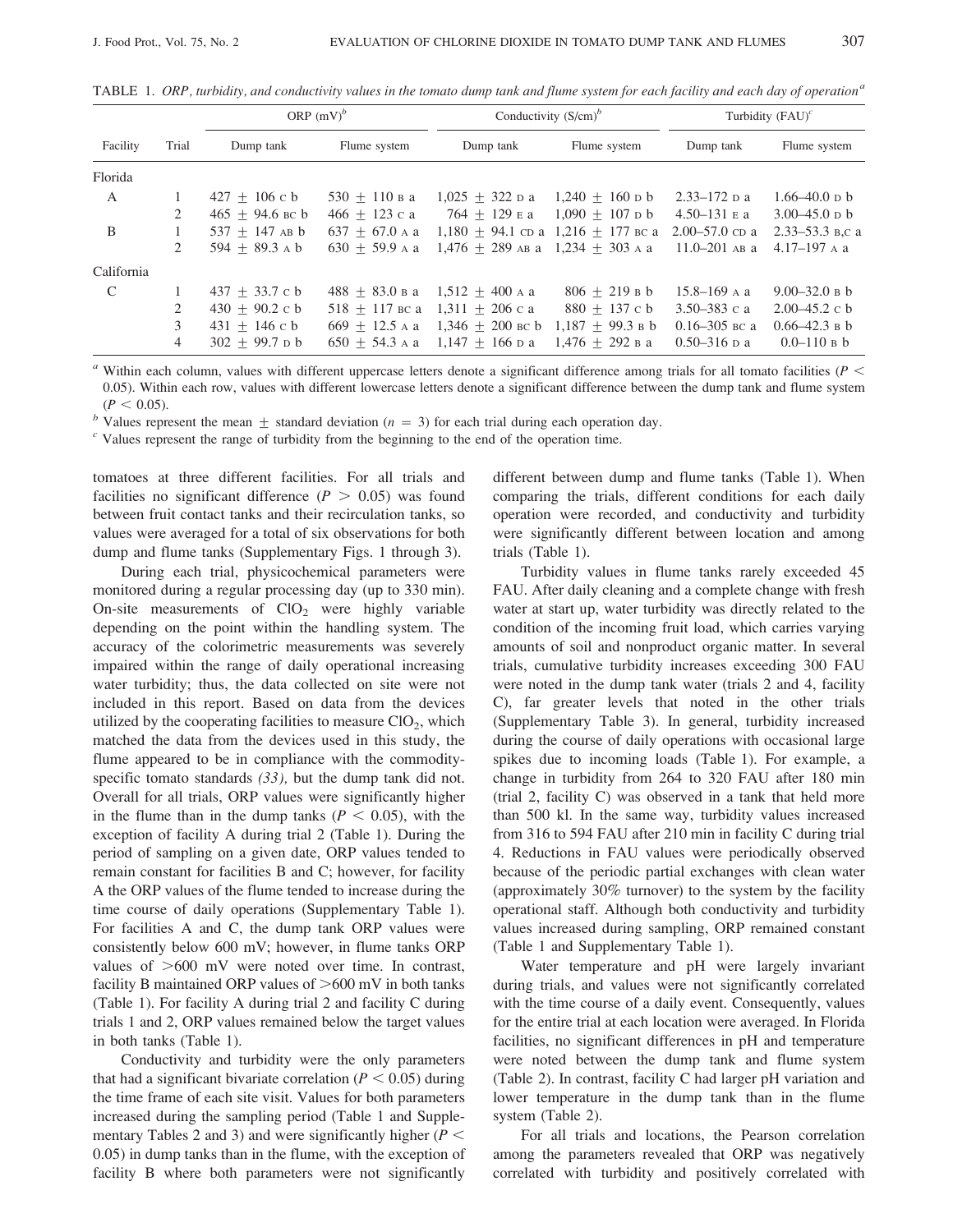|  |  | <code>TABLE 1. ORP</code> , turbidity, and conductivity values in the tomato dump tank and flume system for each facility and each day of operation $^a$ |  |  |  |  |
|--|--|----------------------------------------------------------------------------------------------------------------------------------------------------------|--|--|--|--|
|--|--|----------------------------------------------------------------------------------------------------------------------------------------------------------|--|--|--|--|

|               |                | ORP $(mV)^b$      |                  | Conductivity $(S/cm)^b$ |                                        | Turbidity $(FAU)^c$ |                   |
|---------------|----------------|-------------------|------------------|-------------------------|----------------------------------------|---------------------|-------------------|
| Facility      | Trial          | Dump tank         | Flume system     | Dump tank               | Flume system                           | Dump tank           | Flume system      |
| Florida       |                |                   |                  |                         |                                        |                     |                   |
| A             |                | $427 + 106$ c b   | $530 + 110$ B a  | $1,025 + 322$ D a       | $1,240 + 160$ p b                      | $2.33 - 172$ p a    | $1.66 - 40.0$ p b |
|               | 2              | $465 + 94.6$ BC b | $466 + 123 c a$  | $764 + 129$ E a         | $1,090 + 107$ p b                      | 4.50–131 в а        | $3.00 - 45.0$ p b |
| B             |                | $537 + 147$ AB b  | $637 + 67.0$ A a |                         | $1.180 + 94.1$ cp a $1.216 + 177$ BC a | $2.00 - 57.0$ cp a  | 2.33–53.3 в.с а   |
|               | 2              | $594 + 89.3$ A b  | $630 + 59.9$ A a | $1.476 + 289$ AB a      | $1.234 + 303$ A a                      | $11.0 - 201$ AB a   | $4.17 - 197$ A a  |
| California    |                |                   |                  |                         |                                        |                     |                   |
| $\mathcal{C}$ |                | $437 + 33.7 c b$  | $488 + 83.0$ B a | $1,512 + 400$ A a       | $806 + 219$ B b                        | $15.8 - 169$ A a    | $9.00 - 32.0 B b$ |
|               | 2              | $430 + 90.2$ c b  | $518 + 117$ BC a | $1.311 + 206c$ a        | $880 + 137$ c b                        | 3.50–383 c a        | $2.00 - 45.2$ c b |
|               | 3              | $431 + 146$ c b   | $669 + 12.5$ A a | $1,346 + 200$ BC b      | $1,187 + 99.3$ B b                     | $0.16 - 305$ BC a   | $0.66 - 42.3$ B b |
|               | $\overline{4}$ | $302 + 99.7$ p b  | $650 + 54.3$ A a | $1.147 + 166$ p a       | $1.476 + 292$ B a                      | $0.50 - 316$ p a    | $0.0 - 110$ B b   |

 $\alpha$  Within each column, values with different uppercase letters denote a significant difference among trials for all tomato facilities ( $P$  < 0.05). Within each row, values with different lowercase letters denote a significant difference between the dump tank and flume system  $(P < 0.05)$ .

<sup>b</sup> Values represent the mean  $\pm$  standard deviation ( $n = 3$ ) for each trial during each operation day.

 $\epsilon$  Values represent the range of turbidity from the beginning to the end of the operation time.

tomatoes at three different facilities. For all trials and facilities no significant difference ( $P > 0.05$ ) was found between fruit contact tanks and their recirculation tanks, so values were averaged for a total of six observations for both dump and flume tanks (Supplementary Figs. 1 through 3).

During each trial, physicochemical parameters were monitored during a regular processing day (up to 330 min). On-site measurements of  $ClO<sub>2</sub>$  were highly variable depending on the point within the handling system. The accuracy of the colorimetric measurements was severely impaired within the range of daily operational increasing water turbidity; thus, the data collected on site were not included in this report. Based on data from the devices utilized by the cooperating facilities to measure  $ClO<sub>2</sub>$ , which matched the data from the devices used in this study, the flume appeared to be in compliance with the commodityspecific tomato standards  $(33)$ , but the dump tank did not. Overall for all trials, ORP values were significantly higher in the flume than in the dump tanks ( $P < 0.05$ ), with the exception of facility A during trial 2 (Table 1). During the period of sampling on a given date, ORP values tended to remain constant for facilities B and C; however, for facility A the ORP values of the flume tended to increase during the time course of daily operations (Supplementary Table 1). For facilities A and C, the dump tank ORP values were consistently below 600 mV; however, in flume tanks ORP values of  $>600$  mV were noted over time. In contrast, facility B maintained ORP values of  $>600$  mV in both tanks (Table 1). For facility A during trial 2 and facility C during trials 1 and 2, ORP values remained below the target values in both tanks (Table 1).

Conductivity and turbidity were the only parameters that had a significant bivariate correlation ( $P < 0.05$ ) during the time frame of each site visit. Values for both parameters increased during the sampling period (Table 1 and Supplementary Tables 2 and 3) and were significantly higher ( $P$  < 0.05) in dump tanks than in the flume, with the exception of facility B where both parameters were not significantly different between dump and flume tanks (Table 1). When comparing the trials, different conditions for each daily operation were recorded, and conductivity and turbidity were significantly different between location and among trials (Table 1).

Turbidity values in flume tanks rarely exceeded 45 FAU. After daily cleaning and a complete change with fresh water at start up, water turbidity was directly related to the condition of the incoming fruit load, which carries varying amounts of soil and nonproduct organic matter. In several trials, cumulative turbidity increases exceeding 300 FAU were noted in the dump tank water (trials 2 and 4, facility C), far greater levels that noted in the other trials (Supplementary Table 3). In general, turbidity increased during the course of daily operations with occasional large spikes due to incoming loads (Table 1). For example, a change in turbidity from 264 to 320 FAU after 180 min (trial 2, facility C) was observed in a tank that held more than 500 kl. In the same way, turbidity values increased from 316 to 594 FAU after 210 min in facility C during trial 4. Reductions in FAU values were periodically observed because of the periodic partial exchanges with clean water (approximately 30% turnover) to the system by the facility operational staff. Although both conductivity and turbidity values increased during sampling, ORP remained constant (Table 1 and Supplementary Table 1).

Water temperature and pH were largely invariant during trials, and values were not significantly correlated with the time course of a daily event. Consequently, values for the entire trial at each location were averaged. In Florida facilities, no significant differences in pH and temperature were noted between the dump tank and flume system (Table 2). In contrast, facility C had larger pH variation and lower temperature in the dump tank than in the flume system (Table 2).

For all trials and locations, the Pearson correlation among the parameters revealed that ORP was negatively correlated with turbidity and positively correlated with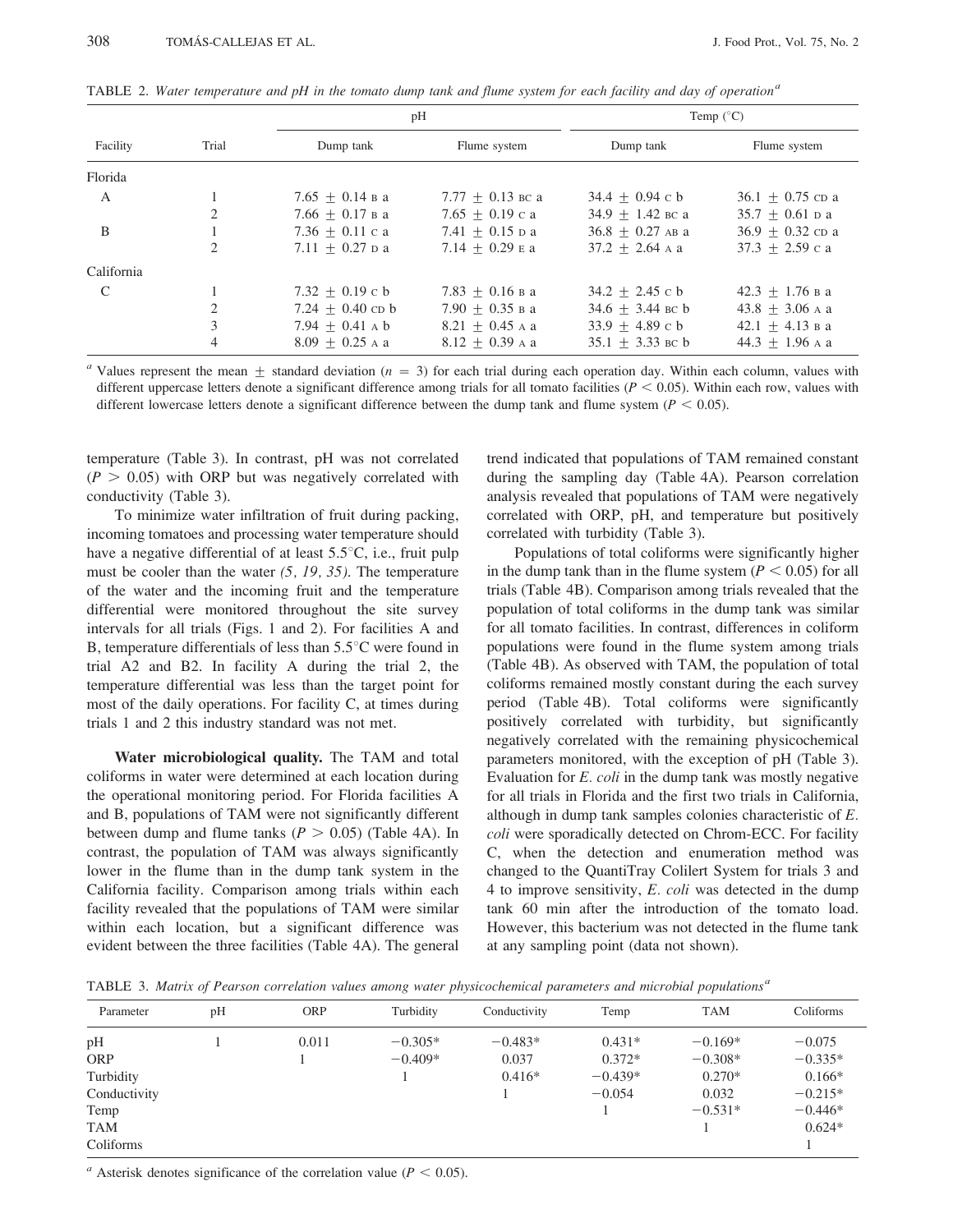|               |                | pH                 |                     |                    | Temp $(^{\circ}C)$ |
|---------------|----------------|--------------------|---------------------|--------------------|--------------------|
| Facility      | Trial          | Dump tank          | Flume system        | Dump tank          | Flume system       |
| Florida       |                |                    |                     |                    |                    |
| A             |                | $7.65 + 0.14$ B a  | $7.77 + 0.13$ BC a  | $34.4 + 0.94$ c b  | $36.1 + 0.75$ cp a |
|               | 2              | $7.66 + 0.17$ B a  | 7.65 $\pm$ 0.19 c a | $34.9 + 1.42$ BC a | $35.7 + 0.61$ D a  |
| B             | 1              | $7.36 + 0.11$ c a  | $7.41 + 0.15$ p a   | $36.8 + 0.27$ AB a | $36.9 + 0.32$ cp a |
|               | 2              | $7.11 + 0.27$ D a  | $7.14 + 0.29$ E a   | $37.2 + 2.64$ A a  | $37.3 + 2.59$ c a  |
| California    |                |                    |                     |                    |                    |
| $\mathcal{C}$ |                | $7.32 + 0.19$ c b  | $7.83 + 0.16$ B a   | $34.2 + 2.45$ c b  | $42.3 + 1.76$ в а  |
|               | $\overline{c}$ | $7.24 + 0.40$ cp b | $7.90 + 0.35$ B a   | $34.6 + 3.44$ BC b | $43.8 + 3.06$ A a  |
|               | 3              | $7.94 + 0.41$ A b  | $8.21 \pm 0.45$ A a | $33.9 + 4.89$ c b  | $42.1 + 4.13$ B a  |
|               | 4              | $8.09 + 0.25$ A a  | $8.12 \pm 0.39$ A a | $35.1 + 3.33$ BC b | $44.3 + 1.96$ A a  |

TABLE 2. Water temperature and pH in the tomato dump tank and flume system for each facility and day of operation<sup>a</sup>

" Values represent the mean  $\pm$  standard deviation ( $n = 3$ ) for each trial during each operation day. Within each column, values with different uppercase letters denote a significant difference among trials for all tomato facilities ( $P < 0.05$ ). Within each row, values with different lowercase letters denote a significant difference between the dump tank and flume system ( $P < 0.05$ ).

temperature (Table 3). In contrast, pH was not correlated  $(P > 0.05)$  with ORP but was negatively correlated with conductivity (Table 3).

To minimize water infiltration of fruit during packing, incoming tomatoes and processing water temperature should have a negative differential of at least  $5.5^{\circ}$ C, i.e., fruit pulp must be cooler than the water  $(5, 19, 35)$ . The temperature of the water and the incoming fruit and the temperature differential were monitored throughout the site survey intervals for all trials (Figs. 1 and 2). For facilities A and B, temperature differentials of less than  $5.5^{\circ}$ C were found in trial A2 and B2. In facility A during the trial 2, the temperature differential was less than the target point for most of the daily operations. For facility C, at times during trials 1 and 2 this industry standard was not met.

Water microbiological quality. The TAM and total coliforms in water were determined at each location during the operational monitoring period. For Florida facilities A and B, populations of TAM were not significantly different between dump and flume tanks ( $P > 0.05$ ) (Table 4A). In contrast, the population of TAM was always significantly lower in the flume than in the dump tank system in the California facility. Comparison among trials within each facility revealed that the populations of TAM were similar within each location, but a significant difference was evident between the three facilities (Table 4A). The general

trend indicated that populations of TAM remained constant during the sampling day (Table 4A). Pearson correlation analysis revealed that populations of TAM were negatively correlated with ORP, pH, and temperature but positively correlated with turbidity (Table 3).

Populations of total coliforms were significantly higher in the dump tank than in the flume system  $(P < 0.05)$  for all trials (Table 4B). Comparison among trials revealed that the population of total coliforms in the dump tank was similar for all tomato facilities. In contrast, differences in coliform populations were found in the flume system among trials (Table 4B). As observed with TAM, the population of total coliforms remained mostly constant during the each survey period (Table 4B). Total coliforms were significantly positively correlated with turbidity, but significantly negatively correlated with the remaining physicochemical parameters monitored, with the exception of pH (Table 3). Evaluation for  $E$ . *coli* in the dump tank was mostly negative for all trials in Florida and the first two trials in California, although in dump tank samples colonies characteristic of  $E$ . coli were sporadically detected on Chrom-ECC. For facility C, when the detection and enumeration method was changed to the QuantiTray Colilert System for trials 3 and 4 to improve sensitivity, E. coli was detected in the dump tank 60 min after the introduction of the tomato load. However, this bacterium was not detected in the flume tank at any sampling point (data not shown).

TABLE 3. Matrix of Pearson correlation values among water physicochemical parameters and microbial populations<sup>a</sup>

| Parameter    | pH | <b>ORP</b> | Turbidity | Conductivity | Temp      | <b>TAM</b> | Coliforms |
|--------------|----|------------|-----------|--------------|-----------|------------|-----------|
| pH           |    | 0.011      | $-0.305*$ | $-0.483*$    | $0.431*$  | $-0.169*$  | $-0.075$  |
| <b>ORP</b>   |    |            | $-0.409*$ | 0.037        | $0.372*$  | $-0.308*$  | $-0.335*$ |
| Turbidity    |    |            |           | $0.416*$     | $-0.439*$ | $0.270*$   | $0.166*$  |
| Conductivity |    |            |           |              | $-0.054$  | 0.032      | $-0.215*$ |
| Temp         |    |            |           |              |           | $-0.531*$  | $-0.446*$ |
| <b>TAM</b>   |    |            |           |              |           |            | $0.624*$  |
| Coliforms    |    |            |           |              |           |            |           |

<sup>*a*</sup> Asterisk denotes significance of the correlation value ( $P < 0.05$ ).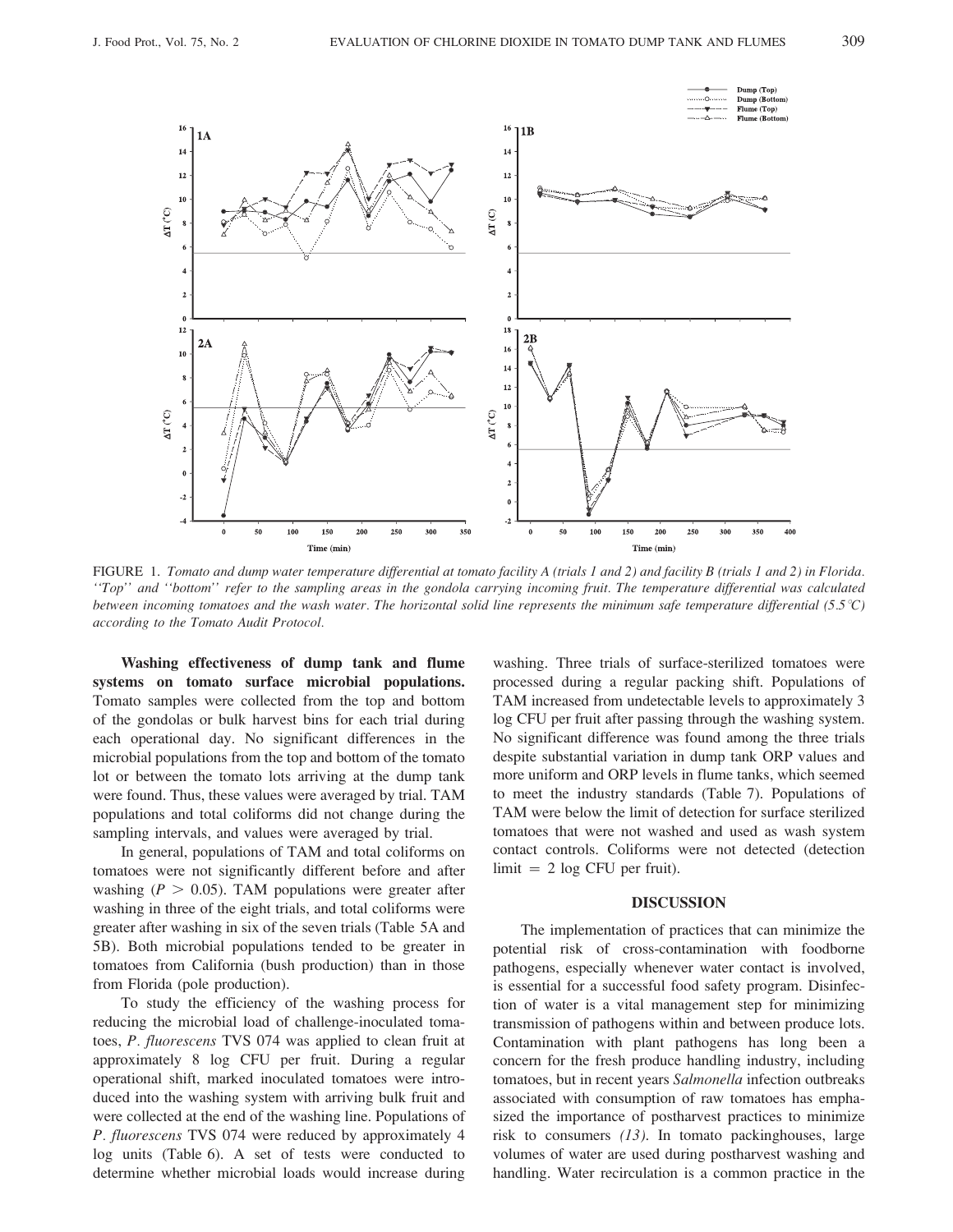

FIGURE 1. Tomato and dump water temperature differential at tomato facility A (trials 1 and 2) and facility B (trials 1 and 2) in Florida. "Top" and "bottom" refer to the sampling areas in the gondola carrying incoming fruit. The temperature differential was calculated between incoming tomatoes and the wash water. The horizontal solid line represents the minimum safe temperature differential (5.5°C) according to the Tomato Audit Protocol.

Washing effectiveness of dump tank and flume systems on tomato surface microbial populations. Tomato samples were collected from the top and bottom of the gondolas or bulk harvest bins for each trial during each operational day. No significant differences in the microbial populations from the top and bottom of the tomato lot or between the tomato lots arriving at the dump tank were found. Thus, these values were averaged by trial. TAM populations and total coliforms did not change during the sampling intervals, and values were averaged by trial.

In general, populations of TAM and total coliforms on tomatoes were not significantly different before and after washing ( $P > 0.05$ ). TAM populations were greater after washing in three of the eight trials, and total coliforms were greater after washing in six of the seven trials (Table 5A and 5B). Both microbial populations tended to be greater in tomatoes from California (bush production) than in those from Florida (pole production).

To study the efficiency of the washing process for reducing the microbial load of challenge-inoculated tomatoes, P. fluorescens TVS 074 was applied to clean fruit at approximately 8 log CFU per fruit. During a regular operational shift, marked inoculated tomatoes were introduced into the washing system with arriving bulk fruit and were collected at the end of the washing line. Populations of P. fluorescens TVS 074 were reduced by approximately 4 log units (Table 6). A set of tests were conducted to determine whether microbial loads would increase during

washing. Three trials of surface-sterilized tomatoes were processed during a regular packing shift. Populations of TAM increased from undetectable levels to approximately 3 log CFU per fruit after passing through the washing system. No significant difference was found among the three trials despite substantial variation in dump tank ORP values and more uniform and ORP levels in flume tanks, which seemed to meet the industry standards (Table 7). Populations of TAM were below the limit of detection for surface sterilized tomatoes that were not washed and used as wash system contact controls. Coliforms were not detected (detection  $\lim$ it = 2 log CFU per fruit).

#### **DISCUSSION**

The implementation of practices that can minimize the potential risk of cross-contamination with foodborne pathogens, especially whenever water contact is involved, is essential for a successful food safety program. Disinfection of water is a vital management step for minimizing transmission of pathogens within and between produce lots. Contamination with plant pathogens has long been a concern for the fresh produce handling industry, including tomatoes, but in recent years Salmonella infection outbreaks associated with consumption of raw tomatoes has emphasized the importance of postharvest practices to minimize risk to consumers  $(13)$ . In tomato packinghouses, large volumes of water are used during postharvest washing and handling. Water recirculation is a common practice in the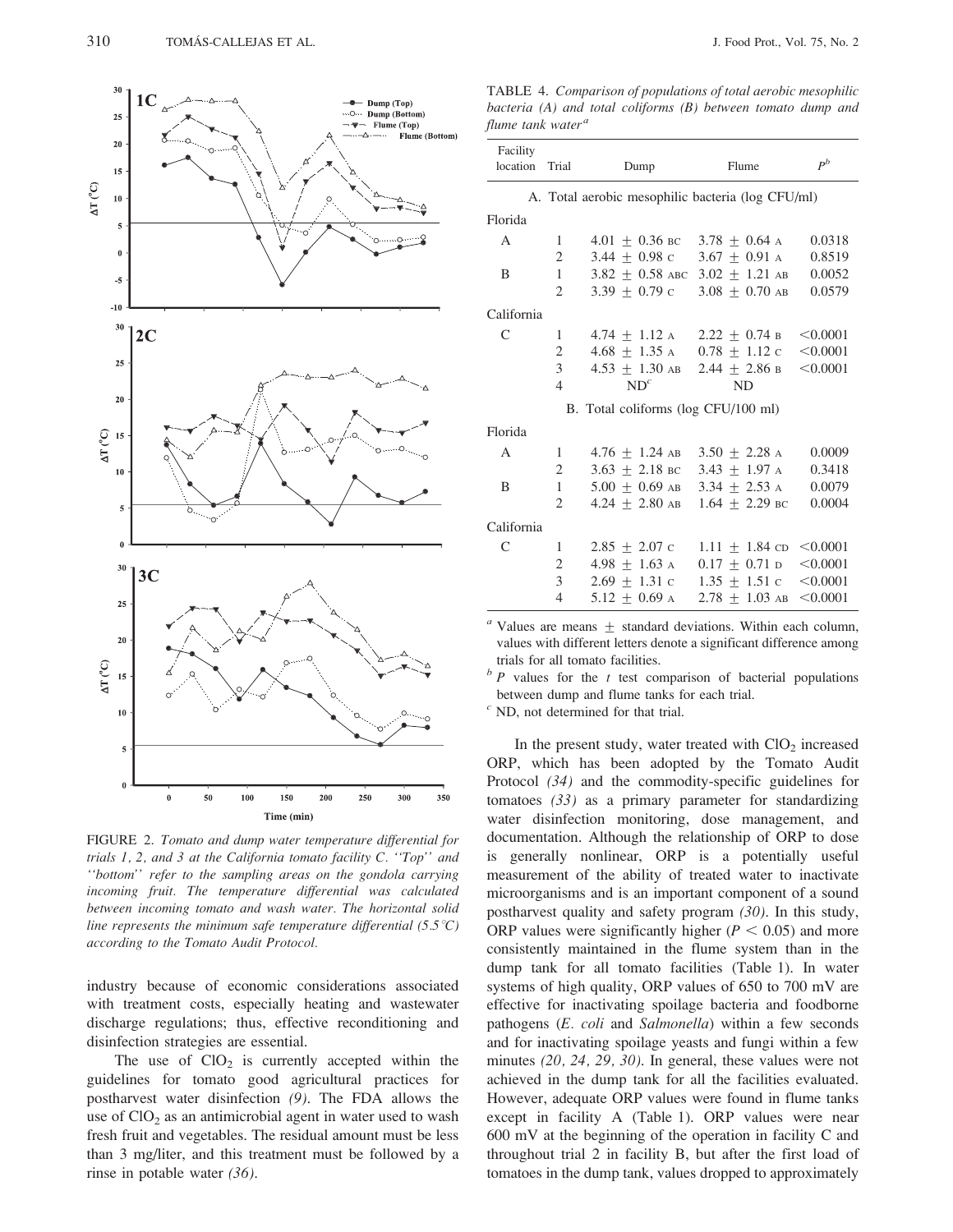

FIGURE 2. Tomato and dump water temperature differential for trials 1, 2, and 3 at the California tomato facility C. "Top" and "bottom" refer to the sampling areas on the gondola carrying incoming fruit. The temperature differential was calculated between incoming tomato and wash water. The horizontal solid line represents the minimum safe temperature differential (5.5 °C) according to the Tomato Audit Protocol.

industry because of economic considerations associated with treatment costs, especially heating and wastewater discharge regulations; thus, effective reconditioning and disinfection strategies are essential.

The use of  $ClO<sub>2</sub>$  is currently accepted within the guidelines for tomato good agricultural practices for postharvest water disinfection  $(9)$ . The FDA allows the use of  $ClO<sub>2</sub>$  as an antimicrobial agent in water used to wash fresh fruit and vegetables. The residual amount must be less than 3 mg/liter, and this treatment must be followed by a rinse in potable water  $(36)$ .

TABLE 4. Comparison of populations of total aerobic mesophilic bacteria (A) and total coliforms (B) between tomato dump and flume tank water<sup>a</sup>

| Facility<br>location | Trial          | Dump                                              | Flume                                            | $P^b$    |
|----------------------|----------------|---------------------------------------------------|--------------------------------------------------|----------|
|                      |                |                                                   |                                                  |          |
|                      |                | A. Total aerobic mesophilic bacteria (log CFU/ml) |                                                  |          |
| Florida              |                |                                                   |                                                  |          |
| $\mathsf{A}$         | 1              | $4.01 + 0.36$ BC $3.78 + 0.64$ A                  |                                                  | 0.0318   |
|                      | $\overline{2}$ | $3.44 + 0.98$ c $3.67 + 0.91$ A                   |                                                  | 0.8519   |
| B                    | 1              | $3.82 + 0.58$ ABC $3.02 + 1.21$ AB                |                                                  | 0.0052   |
|                      | 2              | $3.39 + 0.79$ c                                   | $3.08 + 0.70$ AB                                 | 0.0579   |
| California           |                |                                                   |                                                  |          |
| C                    | 1              | $4.74 \pm 1.12$ A $2.22 \pm 0.74$ B < 0.0001      |                                                  |          |
|                      | 2              | $4.68 + 1.35$ A                                   | $0.78 \pm 1.12 \text{ c} \quad \textless 0.0001$ |          |
|                      | 3              | $4.53 \pm 1.30$ AB 2.44 $\pm$ 2.86 B              |                                                  | < 0.0001 |
|                      | $\overline{4}$ | $ND^{c}$                                          | <b>ND</b>                                        |          |
|                      |                | B. Total coliforms (log CFU/100 ml)               |                                                  |          |
| Florida              |                |                                                   |                                                  |          |
| $\mathsf{A}$         | $\mathbf{1}$   | $4.76 + 1.24$ AB $3.50 + 2.28$ A                  |                                                  | 0.0009   |
|                      | $\mathfrak{2}$ | $3.63 + 2.18$ BC                                  | $3.43 + 1.97$ A                                  | 0.3418   |
| B                    | $\mathbf{1}$   | $5.00 + 0.69$ AB                                  | $3.34 + 2.53$ A                                  | 0.0079   |
|                      | $\overline{2}$ | $4.24 + 2.80$ AB $1.64 + 2.29$ BC                 |                                                  | 0.0004   |
| California           |                |                                                   |                                                  |          |
| C                    | 1              | $2.85 + 2.07$ c                                   | $1.11 \pm 1.84$ cD < 0.0001                      |          |
|                      | $\mathbf{2}$   | $4.98 + 1.63$ A                                   | $0.17 \pm 0.71$ D <0.0001                        |          |
|                      | 3              | $2.69 + 1.31$ c                                   | $1.35 + 1.51c$                                   | < 0.0001 |
|                      | $\overline{4}$ | $5.12 + 0.69$ A                                   | $2.78 + 1.03$ AB $\leq 0.0001$                   |          |

 $a$  Values are means  $\pm$  standard deviations. Within each column, values with different letters denote a significant difference among trials for all tomato facilities.

 $b$  P values for the t test comparison of bacterial populations between dump and flume tanks for each trial.

 $c$  ND, not determined for that trial.

In the present study, water treated with  $ClO<sub>2</sub>$  increased ORP, which has been adopted by the Tomato Audit Protocol  $(34)$  and the commodity-specific guidelines for tomatoes  $(33)$  as a primary parameter for standardizing water disinfection monitoring, dose management, and documentation. Although the relationship of ORP to dose is generally nonlinear, ORP is a potentially useful measurement of the ability of treated water to inactivate microorganisms and is an important component of a sound postharvest quality and safety program  $(30)$ . In this study, ORP values were significantly higher ( $P < 0.05$ ) and more consistently maintained in the flume system than in the dump tank for all tomato facilities (Table 1). In water systems of high quality, ORP values of 650 to 700 mV are effective for inactivating spoilage bacteria and foodborne pathogens (E. coli and Salmonella) within a few seconds and for inactivating spoilage yeasts and fungi within a few minutes  $(20, 24, 29, 30)$ . In general, these values were not achieved in the dump tank for all the facilities evaluated. However, adequate ORP values were found in flume tanks except in facility A (Table 1). ORP values were near  $600$  mV at the beginning of the operation in facility C and throughout trial 2 in facility B, but after the first load of tomatoes in the dump tank, values dropped to approximately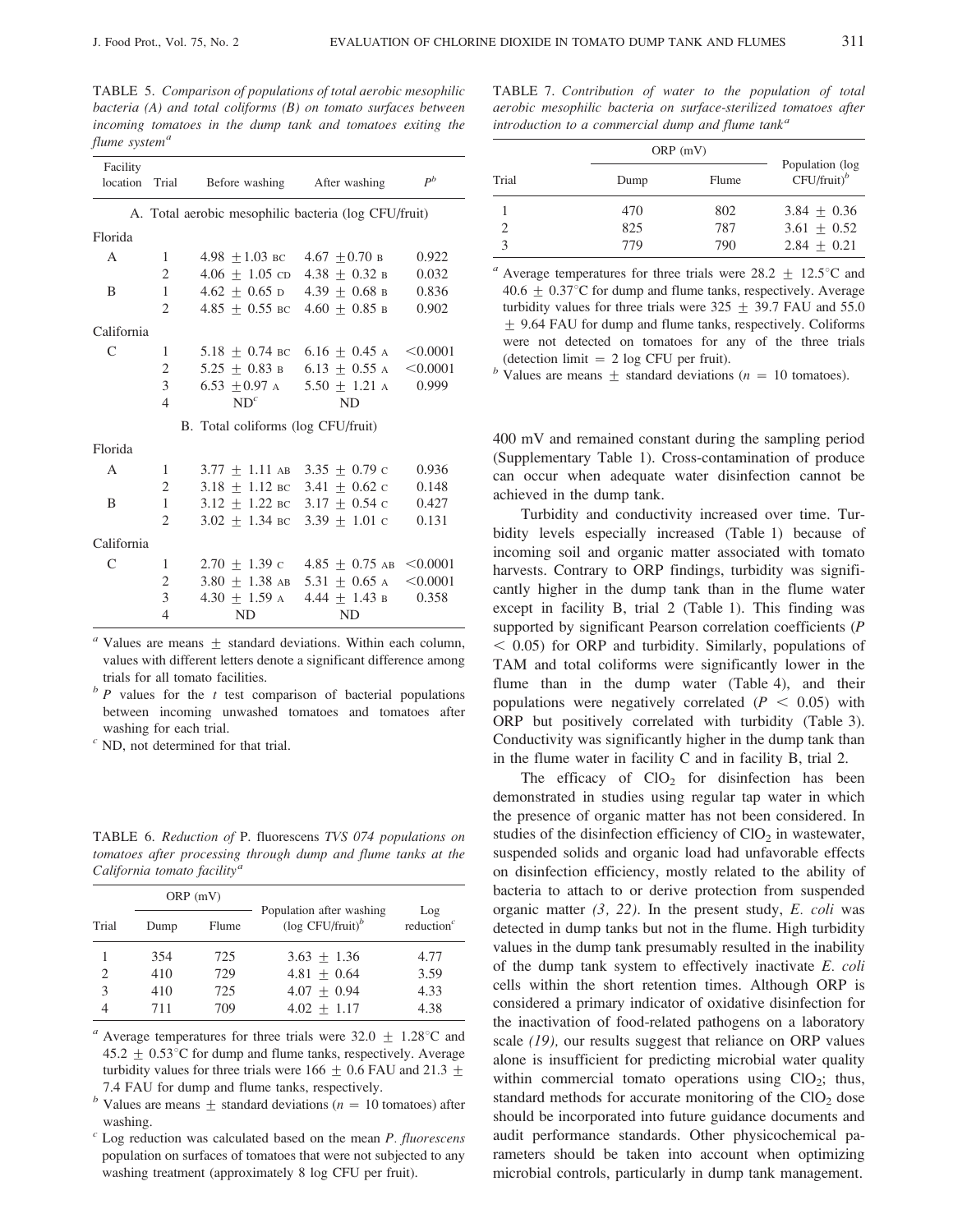TABLE 5. Comparison of populations of total aerobic mesophilic bacteria (A) and total coliforms  $(B)$  on tomato surfaces between incoming tomatoes in the dump tank and tomatoes exiting the flume system<sup>a</sup>

| Before washing After washing<br>A. Total aerobic mesophilic bacteria (log CFU/fruit)<br>Florida<br>A<br>$4.98 + 1.03$ BC $4.67 + 0.70$ B<br>0.922<br>1<br>$\overline{2}$<br>$4.06 + 1.05$ cD $4.38 + 0.32$ B<br>0.032<br>$\mathbf{1}$<br>4.62 $\pm$ 0.65 d 4.39 $\pm$ 0.68 b<br>0.836<br>B<br>2<br>$4.85 + 0.55$ BC $4.60 + 0.85$ B<br>0.902<br>California<br>C<br>1<br>$5.18 + 0.74$ BC<br>$6.16 + 0.45$ A<br>< 0.0001<br>$\overline{2}$<br>$5.25 + 0.83$ B<br>$6.13 + 0.55$ A<br>< 0.0001<br>3<br>0.999<br>$6.53 + 0.97$ A<br>$5.50 + 1.21$ A<br>$ND^{c}$<br>$\overline{4}$<br><b>ND</b><br>B. Total coliforms (log CFU/fruit)<br>Florida<br>$3.77 \pm 1.11$ AB $3.35 \pm 0.79$ C<br>$\mathsf{A}$<br>1<br>0.936<br>2<br>$3.18 \pm 1.12$ BC $3.41 \pm 0.62$ C<br>0.148<br>$\mathbf{1}$<br>B<br>$3.12 + 1.22$ BC $3.17 + 0.54$ C<br>0.427<br>$3.02 + 1.34$ BC $3.39 + 1.01$ C<br>$\mathfrak{D}$<br>0.131<br>California<br>C<br>1<br>$2.70 + 1.39$ c $4.85 + 0.75$ AB<br>< 0.0001<br>$\overline{2}$<br>$3.80 + 1.38$ AB<br>< 0.0001<br>$5.31 + 0.65$ A<br>3<br>$4.30 + 1.59$ A<br>0.358<br>$4.44 + 1.43$ B<br>$\overline{4}$<br><b>ND</b><br>ND. | Facility |       |  | $P^b$ |
|-------------------------------------------------------------------------------------------------------------------------------------------------------------------------------------------------------------------------------------------------------------------------------------------------------------------------------------------------------------------------------------------------------------------------------------------------------------------------------------------------------------------------------------------------------------------------------------------------------------------------------------------------------------------------------------------------------------------------------------------------------------------------------------------------------------------------------------------------------------------------------------------------------------------------------------------------------------------------------------------------------------------------------------------------------------------------------------------------------------------------------------------------|----------|-------|--|-------|
|                                                                                                                                                                                                                                                                                                                                                                                                                                                                                                                                                                                                                                                                                                                                                                                                                                                                                                                                                                                                                                                                                                                                                 | location | Trial |  |       |
|                                                                                                                                                                                                                                                                                                                                                                                                                                                                                                                                                                                                                                                                                                                                                                                                                                                                                                                                                                                                                                                                                                                                                 |          |       |  |       |
|                                                                                                                                                                                                                                                                                                                                                                                                                                                                                                                                                                                                                                                                                                                                                                                                                                                                                                                                                                                                                                                                                                                                                 |          |       |  |       |
|                                                                                                                                                                                                                                                                                                                                                                                                                                                                                                                                                                                                                                                                                                                                                                                                                                                                                                                                                                                                                                                                                                                                                 |          |       |  |       |
|                                                                                                                                                                                                                                                                                                                                                                                                                                                                                                                                                                                                                                                                                                                                                                                                                                                                                                                                                                                                                                                                                                                                                 |          |       |  |       |
|                                                                                                                                                                                                                                                                                                                                                                                                                                                                                                                                                                                                                                                                                                                                                                                                                                                                                                                                                                                                                                                                                                                                                 |          |       |  |       |
|                                                                                                                                                                                                                                                                                                                                                                                                                                                                                                                                                                                                                                                                                                                                                                                                                                                                                                                                                                                                                                                                                                                                                 |          |       |  |       |
|                                                                                                                                                                                                                                                                                                                                                                                                                                                                                                                                                                                                                                                                                                                                                                                                                                                                                                                                                                                                                                                                                                                                                 |          |       |  |       |
|                                                                                                                                                                                                                                                                                                                                                                                                                                                                                                                                                                                                                                                                                                                                                                                                                                                                                                                                                                                                                                                                                                                                                 |          |       |  |       |
|                                                                                                                                                                                                                                                                                                                                                                                                                                                                                                                                                                                                                                                                                                                                                                                                                                                                                                                                                                                                                                                                                                                                                 |          |       |  |       |
|                                                                                                                                                                                                                                                                                                                                                                                                                                                                                                                                                                                                                                                                                                                                                                                                                                                                                                                                                                                                                                                                                                                                                 |          |       |  |       |
|                                                                                                                                                                                                                                                                                                                                                                                                                                                                                                                                                                                                                                                                                                                                                                                                                                                                                                                                                                                                                                                                                                                                                 |          |       |  |       |
|                                                                                                                                                                                                                                                                                                                                                                                                                                                                                                                                                                                                                                                                                                                                                                                                                                                                                                                                                                                                                                                                                                                                                 |          |       |  |       |
|                                                                                                                                                                                                                                                                                                                                                                                                                                                                                                                                                                                                                                                                                                                                                                                                                                                                                                                                                                                                                                                                                                                                                 |          |       |  |       |
|                                                                                                                                                                                                                                                                                                                                                                                                                                                                                                                                                                                                                                                                                                                                                                                                                                                                                                                                                                                                                                                                                                                                                 |          |       |  |       |
|                                                                                                                                                                                                                                                                                                                                                                                                                                                                                                                                                                                                                                                                                                                                                                                                                                                                                                                                                                                                                                                                                                                                                 |          |       |  |       |
|                                                                                                                                                                                                                                                                                                                                                                                                                                                                                                                                                                                                                                                                                                                                                                                                                                                                                                                                                                                                                                                                                                                                                 |          |       |  |       |
|                                                                                                                                                                                                                                                                                                                                                                                                                                                                                                                                                                                                                                                                                                                                                                                                                                                                                                                                                                                                                                                                                                                                                 |          |       |  |       |
|                                                                                                                                                                                                                                                                                                                                                                                                                                                                                                                                                                                                                                                                                                                                                                                                                                                                                                                                                                                                                                                                                                                                                 |          |       |  |       |
|                                                                                                                                                                                                                                                                                                                                                                                                                                                                                                                                                                                                                                                                                                                                                                                                                                                                                                                                                                                                                                                                                                                                                 |          |       |  |       |
|                                                                                                                                                                                                                                                                                                                                                                                                                                                                                                                                                                                                                                                                                                                                                                                                                                                                                                                                                                                                                                                                                                                                                 |          |       |  |       |
|                                                                                                                                                                                                                                                                                                                                                                                                                                                                                                                                                                                                                                                                                                                                                                                                                                                                                                                                                                                                                                                                                                                                                 |          |       |  |       |
|                                                                                                                                                                                                                                                                                                                                                                                                                                                                                                                                                                                                                                                                                                                                                                                                                                                                                                                                                                                                                                                                                                                                                 |          |       |  |       |

 $a$  Values are means  $\pm$  standard deviations. Within each column, values with different letters denote a significant difference among trials for all tomato facilities.

 $\supb P$  values for the t test comparison of bacterial populations between incoming unwashed tomatoes and tomatoes after washing for each trial.

 $\epsilon$  ND, not determined for that trial.

TABLE 6. Reduction of P. fluorescens TVS 074 populations on tomatoes after processing through dump and flume tanks at the California tomato facility<sup>a</sup>

| $ORP$ (mV) |      |       |                                                             |                      |
|------------|------|-------|-------------------------------------------------------------|----------------------|
| Trial      | Dump | Flume | Population after washing<br>(log $CFU/fruit$ ) <sup>b</sup> | Log<br>reduction $c$ |
|            | 354  | 725   | $3.63 + 1.36$                                               | 4.77                 |
| 2          | 410  | 729   | $4.81 + 0.64$                                               | 3.59                 |
| 3          | 410  | 725   | $4.07 + 0.94$                                               | 4.33                 |
|            | 711  | 709   | $4.02 + 1.17$                                               | 4.38                 |

<sup>a</sup> Average temperatures for three trials were 32.0  $\pm$  1.28°C and  $45.2 + 0.53^{\circ}$ C for dump and flume tanks, respectively. Average turbidity values for three trials were 166  $\pm$  0.6 FAU and 21.3  $\pm$ 7.4 FAU for dump and flume tanks, respectively.

<sup>b</sup> Values are means  $\pm$  standard deviations ( $n = 10$  tomatoes) after washing.

 $c$  Log reduction was calculated based on the mean  $P$ . fluorescens population on surfaces of tomatoes that were not subjected to any washing treatment (approximately 8 log CFU per fruit).

TABLE 7. Contribution of water to the population of total aerobic mesophilic bacteria on surface-sterilized tomatoes after introduction to a commercial dump and flume tank<sup>a</sup>

| Trial | Dump | Flume | Population (log<br>$CFU/fruit)^b$ |
|-------|------|-------|-----------------------------------|
|       | 470  | 802   | $3.84 + 0.36$                     |
| 2     | 825  | 787   | $3.61 + 0.52$                     |
| κ     | 779  | 790   | $2.84 + 0.21$                     |

<sup>a</sup> Average temperatures for three trials were 28.2  $\pm$  12.5°C and 40.6  $\pm$  0.37°C for dump and flume tanks, respectively. Average turbidity values for three trials were  $325 \pm 39.7$  FAU and 55.0  $\pm$  9.64 FAU for dump and flume tanks, respectively. Coliforms were not detected on tomatoes for any of the three trials (detection limit  $= 2 \log CFU$  per fruit).

<sup>*b*</sup> Values are means  $\pm$  standard deviations (*n* = 10 tomatoes).

400 mV and remained constant during the sampling period (Supplementary Table 1). Cross-contamination of produce can occur when adequate water disinfection cannot be achieved in the dump tank.

Turbidity and conductivity increased over time. Turbidity levels especially increased (Table 1) because of incoming soil and organic matter associated with tomato harvests. Contrary to ORP findings, turbidity was significantly higher in the dump tank than in the flume water except in facility B, trial 2 (Table 1). This finding was supported by significant Pearson correlation coefficients (P  $<$  0.05) for ORP and turbidity. Similarly, populations of TAM and total coliforms were significantly lower in the flume than in the dump water (Table 4), and their populations were negatively correlated ( $P < 0.05$ ) with ORP but positively correlated with turbidity (Table 3). Conductivity was significantly higher in the dump tank than in the flume water in facility C and in facility B, trial 2.

The efficacy of  $ClO<sub>2</sub>$  for disinfection has been demonstrated in studies using regular tap water in which the presence of organic matter has not been considered. In studies of the disinfection efficiency of  $ClO<sub>2</sub>$  in wastewater, suspended solids and organic load had unfavorable effects on disinfection efficiency, mostly related to the ability of bacteria to attach to or derive protection from suspended organic matter  $(3, 22)$ . In the present study, E. coli was detected in dump tanks but not in the flume. High turbidity values in the dump tank presumably resulted in the inability of the dump tank system to effectively inactivate E. coli cells within the short retention times. Although ORP is considered a primary indicator of oxidative disinfection for the inactivation of food-related pathogens on a laboratory scale  $(19)$ , our results suggest that reliance on ORP values alone is insufficient for predicting microbial water quality within commercial tomato operations using  $ClO<sub>2</sub>$ ; thus, standard methods for accurate monitoring of the  $ClO<sub>2</sub>$  dose should be incorporated into future guidance documents and audit performance standards. Other physicochemical parameters should be taken into account when optimizing microbial controls, particularly in dump tank management.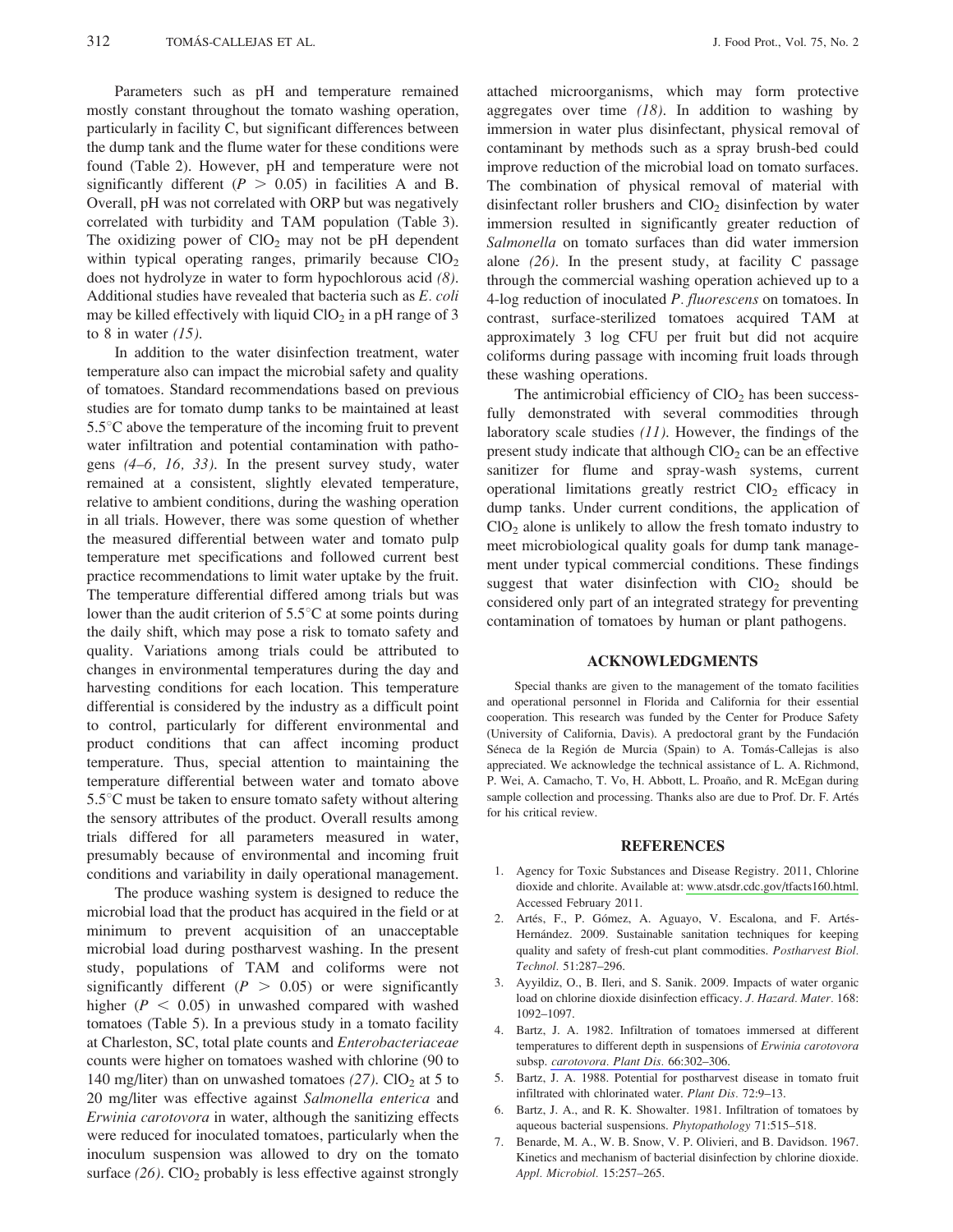Parameters such as pH and temperature remained mostly constant throughout the tomato washing operation, particularly in facility C, but significant differences between the dump tank and the flume water for these conditions were found (Table 2). However, pH and temperature were not significantly different ( $P > 0.05$ ) in facilities A and B. Overall, pH was not correlated with ORP but was negatively correlated with turbidity and TAM population (Table 3). The oxidizing power of  $ClO<sub>2</sub>$  may not be pH dependent within typical operating ranges, primarily because  $CIO<sub>2</sub>$ does not hydrolyze in water to form hypochlorous acid  $(8)$ . Additional studies have revealed that bacteria such as E. coli may be killed effectively with liquid  $ClO<sub>2</sub>$  in a pH range of 3 to 8 in water  $(15)$ .

In addition to the water disinfection treatment, water temperature also can impact the microbial safety and quality of tomatoes. Standard recommendations based on previous studies are for tomato dump tanks to be maintained at least  $5.5^{\circ}$ C above the temperature of the incoming fruit to prevent water infiltration and potential contamination with pathogens  $(4-6, 16, 33)$ . In the present survey study, water remained at a consistent, slightly elevated temperature, relative to ambient conditions, during the washing operation in all trials. However, there was some question of whether the measured differential between water and tomato pulp temperature met specifications and followed current best practice recommendations to limit water uptake by the fruit. The temperature differential differed among trials but was lower than the audit criterion of  $5.5^{\circ}$ C at some points during the daily shift, which may pose a risk to tomato safety and quality. Variations among trials could be attributed to changes in environmental temperatures during the day and harvesting conditions for each location. This temperature differential is considered by the industry as a difficult point to control, particularly for different environmental and product conditions that can affect incoming product temperature. Thus, special attention to maintaining the temperature differential between water and tomato above  $5.5^{\circ}$ C must be taken to ensure tomato safety without altering the sensory attributes of the product. Overall results among trials differed for all parameters measured in water, presumably because of environmental and incoming fruit conditions and variability in daily operational management.

The produce washing system is designed to reduce the microbial load that the product has acquired in the field or at minimum to prevent acquisition of an unacceptable microbial load during postharvest washing. In the present study, populations of TAM and coliforms were not significantly different ( $P > 0.05$ ) or were significantly higher ( $P < 0.05$ ) in unwashed compared with washed tomatoes (Table 5). In a previous study in a tomato facility at Charleston, SC, total plate counts and Enterobacteriaceae counts were higher on tomatoes washed with chlorine (90 to 140 mg/liter) than on unwashed tomatoes  $(27)$ . ClO<sub>2</sub> at 5 to 20 mg/liter was effective against Salmonella enterica and Erwinia carotovora in water, although the sanitizing effects were reduced for inoculated tomatoes, particularly when the inoculum suspension was allowed to dry on the tomato surface  $(26)$ . ClO<sub>2</sub> probably is less effective against strongly

attached microorganisms, which may form protective aggregates over time  $(18)$ . In addition to washing by immersion in water plus disinfectant, physical removal of contaminant by methods such as a spray brush-bed could improve reduction of the microbial load on tomato surfaces. The combination of physical removal of material with disinfectant roller brushers and  $ClO<sub>2</sub>$  disinfection by water immersion resulted in significantly greater reduction of Salmonella on tomato surfaces than did water immersion alone  $(26)$ . In the present study, at facility C passage through the commercial washing operation achieved up to a 4-log reduction of inoculated P. fluorescens on tomatoes. In contrast, surface-sterilized tomatoes acquired TAM at approximately 3 log CFU per fruit but did not acquire coliforms during passage with incoming fruit loads through these washing operations.

The antimicrobial efficiency of  $ClO<sub>2</sub>$  has been successfully demonstrated with several commodities through laboratory scale studies  $(11)$ . However, the findings of the present study indicate that although ClO<sub>2</sub> can be an effective sanitizer for flume and spray-wash systems, current operational limitations greatly restrict ClO<sub>2</sub> efficacy in dump tanks. Under current conditions, the application of  $ClO<sub>2</sub>$  alone is unlikely to allow the fresh tomato industry to meet microbiological quality goals for dump tank management under typical commercial conditions. These findings suggest that water disinfection with ClO<sub>2</sub> should be considered only part of an integrated strategy for preventing contamination of tomatoes by human or plant pathogens.

#### **ACKNOWLEDGMENTS**

Special thanks are given to the management of the tomato facilities and operational personnel in Florida and California for their essential cooperation. This research was funded by the Center for Produce Safety (University of California, Davis). A predoctoral grant by the Fundación Séneca de la Región de Murcia (Spain) to A. Tomás-Callejas is also appreciated. We acknowledge the technical assistance of L. A. Richmond, P. Wei, A. Camacho, T. Vo, H. Abbott, L. Proaño, and R. McEgan during sample collection and processing. Thanks also are due to Prof. Dr. F. Artés for his critical review.

#### **REFERENCES**

- 1. Agency for Toxic Substances and Disease Registry. 2011, Chlorine dioxide and chlorite. Available at: www.atsdr.cdc.gov/tfacts160.html. Accessed February 2011.
- 2. Artés, F., P. Gómez, A. Aguayo, V. Escalona, and F. Artés-Hernández. 2009. Sustainable sanitation techniques for keeping quality and safety of fresh-cut plant commodities. Postharvest Biol. Technol. 51:287-296.
- 3. Ayyildiz, O., B. Ileri, and S. Sanik. 2009. Impacts of water organic load on chlorine dioxide disinfection efficacy. J. Hazard. Mater. 168: 1092-1097.
- 4. Bartz, J. A. 1982. Infiltration of tomatoes immersed at different temperatures to different depth in suspensions of Erwinia carotovora subsp. carotovora. Plant Dis. 66:302-306.
- 5. Bartz, J. A. 1988. Potential for postharvest disease in tomato fruit infiltrated with chlorinated water. Plant Dis. 72:9-13.
- 6. Bartz, J. A., and R. K. Showalter. 1981. Infiltration of tomatoes by aqueous bacterial suspensions. Phytopathology 71:515-518.
- 7. Benarde, M. A., W. B. Snow, V. P. Olivieri, and B. Davidson. 1967. Kinetics and mechanism of bacterial disinfection by chlorine dioxide. Appl. Microbiol. 15:257-265.